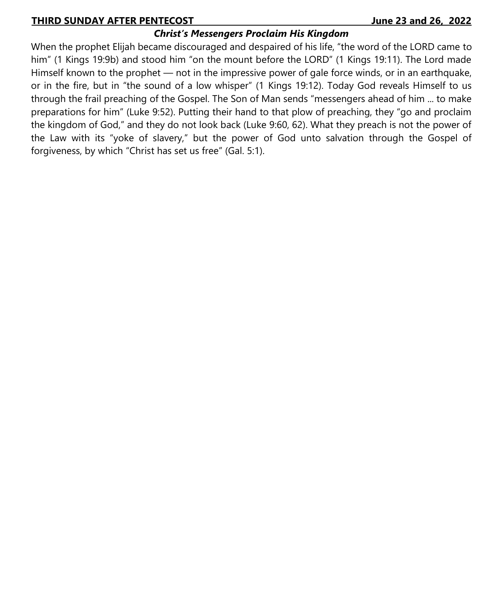## **THIRD SUNDAY AFTER PENTECOST\_\_\_\_\_\_\_\_\_\_\_\_\_\_\_\_\_ \_\_\_\_\_\_\_\_\_\_\_\_\_\_\_\_\_\_ June 23 and 26, 2022**

# *Christ's Messengers Proclaim His Kingdom*

When the prophet Elijah became discouraged and despaired of his life, "the word of the LORD came to him" (1 Kings 19:9b) and stood him "on the mount before the LORD" (1 Kings 19:11). The Lord made Himself known to the prophet — not in the impressive power of gale force winds, or in an earthquake, or in the fire, but in "the sound of a low whisper" (1 Kings 19:12). Today God reveals Himself to us through the frail preaching of the Gospel. The Son of Man sends "messengers ahead of him ... to make preparations for him" (Luke 9:52). Putting their hand to that plow of preaching, they "go and proclaim the kingdom of God," and they do not look back (Luke 9:60, 62). What they preach is not the power of the Law with its "yoke of slavery," but the power of God unto salvation through the Gospel of forgiveness, by which "Christ has set us free" (Gal. 5:1).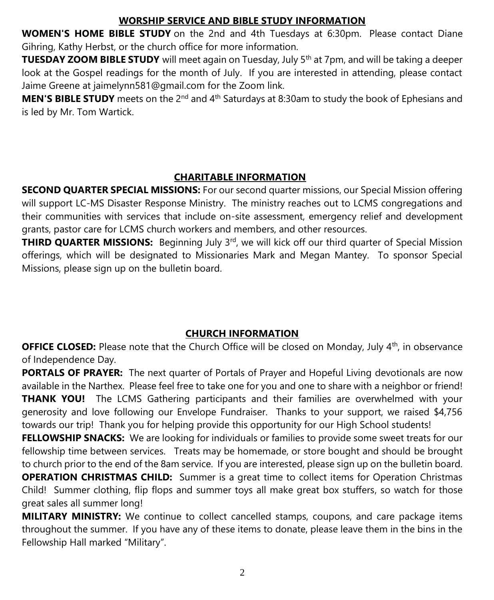# **WORSHIP SERVICE AND BIBLE STUDY INFORMATION**

**WOMEN'S HOME BIBLE STUDY** on the 2nd and 4th Tuesdays at 6:30pm. Please contact Diane Gihring, Kathy Herbst, or the church office for more information.

**TUESDAY ZOOM BIBLE STUDY** will meet again on Tuesday, July 5<sup>th</sup> at 7pm, and will be taking a deeper look at the Gospel readings for the month of July. If you are interested in attending, please contact Jaime Greene at jaimelynn581@gmail.com for the Zoom link.

**MEN'S BIBLE STUDY** meets on the 2<sup>nd</sup> and 4<sup>th</sup> Saturdays at 8:30am to study the book of Ephesians and is led by Mr. Tom Wartick.

# **CHARITABLE INFORMATION**

**SECOND QUARTER SPECIAL MISSIONS:** For our second quarter missions, our Special Mission offering will support LC-MS Disaster Response Ministry. The ministry reaches out to LCMS congregations and their communities with services that include on-site assessment, emergency relief and development grants, pastor care for LCMS church workers and members, and other resources.

**THIRD QUARTER MISSIONS:** Beginning July 3<sup>rd</sup>, we will kick off our third quarter of Special Mission offerings, which will be designated to Missionaries Mark and Megan Mantey. To sponsor Special Missions, please sign up on the bulletin board.

# **CHURCH INFORMATION**

**OFFICE CLOSED:** Please note that the Church Office will be closed on Monday, July 4<sup>th</sup>, in observance of Independence Day.

**PORTALS OF PRAYER:** The next quarter of Portals of Prayer and Hopeful Living devotionals are now available in the Narthex. Please feel free to take one for you and one to share with a neighbor or friend! **THANK YOU!** The LCMS Gathering participants and their families are overwhelmed with your generosity and love following our Envelope Fundraiser. Thanks to your support, we raised \$4,756 towards our trip! Thank you for helping provide this opportunity for our High School students!

**FELLOWSHIP SNACKS:** We are looking for individuals or families to provide some sweet treats for our fellowship time between services. Treats may be homemade, or store bought and should be brought to church prior to the end of the 8am service. If you are interested, please sign up on the bulletin board. **OPERATION CHRISTMAS CHILD:** Summer is a great time to collect items for Operation Christmas Child! Summer clothing, flip flops and summer toys all make great box stuffers, so watch for those great sales all summer long!

**MILITARY MINISTRY:** We continue to collect cancelled stamps, coupons, and care package items throughout the summer. If you have any of these items to donate, please leave them in the bins in the Fellowship Hall marked "Military".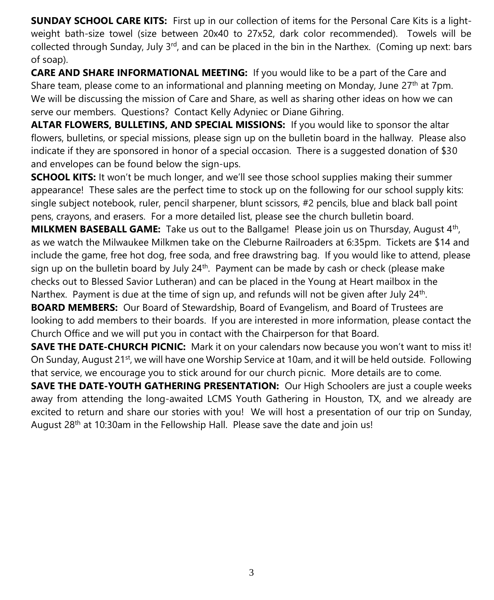**SUNDAY SCHOOL CARE KITS:** First up in our collection of items for the Personal Care Kits is a lightweight bath-size towel (size between 20x40 to 27x52, dark color recommended). Towels will be collected through Sunday, July  $3<sup>rd</sup>$ , and can be placed in the bin in the Narthex. (Coming up next: bars of soap).

**CARE AND SHARE INFORMATIONAL MEETING:** If you would like to be a part of the Care and Share team, please come to an informational and planning meeting on Monday, June  $27<sup>th</sup>$  at 7pm. We will be discussing the mission of Care and Share, as well as sharing other ideas on how we can serve our members. Questions? Contact Kelly Adyniec or Diane Gihring.

**ALTAR FLOWERS, BULLETINS, AND SPECIAL MISSIONS:** If you would like to sponsor the altar flowers, bulletins, or special missions, please sign up on the bulletin board in the hallway. Please also indicate if they are sponsored in honor of a special occasion. There is a suggested donation of \$30 and envelopes can be found below the sign-ups.

**SCHOOL KITS:** It won't be much longer, and we'll see those school supplies making their summer appearance! These sales are the perfect time to stock up on the following for our school supply kits: single subject notebook, ruler, pencil sharpener, blunt scissors, #2 pencils, blue and black ball point pens, crayons, and erasers. For a more detailed list, please see the church bulletin board.

**MILKMEN BASEBALL GAME:** Take us out to the Ballgame! Please join us on Thursday, August 4<sup>th</sup>, as we watch the Milwaukee Milkmen take on the Cleburne Railroaders at 6:35pm. Tickets are \$14 and include the game, free hot dog, free soda, and free drawstring bag. If you would like to attend, please sign up on the bulletin board by July  $24<sup>th</sup>$ . Payment can be made by cash or check (please make checks out to Blessed Savior Lutheran) and can be placed in the Young at Heart mailbox in the Narthex. Payment is due at the time of sign up, and refunds will not be given after July 24<sup>th</sup>.

**BOARD MEMBERS:** Our Board of Stewardship, Board of Evangelism, and Board of Trustees are looking to add members to their boards. If you are interested in more information, please contact the Church Office and we will put you in contact with the Chairperson for that Board.

**SAVE THE DATE-CHURCH PICNIC:** Mark it on your calendars now because you won't want to miss it! On Sunday, August 21<sup>st</sup>, we will have one Worship Service at 10am, and it will be held outside. Following that service, we encourage you to stick around for our church picnic. More details are to come.

**SAVE THE DATE-YOUTH GATHERING PRESENTATION:** Our High Schoolers are just a couple weeks away from attending the long-awaited LCMS Youth Gathering in Houston, TX, and we already are excited to return and share our stories with you! We will host a presentation of our trip on Sunday, August 28th at 10:30am in the Fellowship Hall. Please save the date and join us!